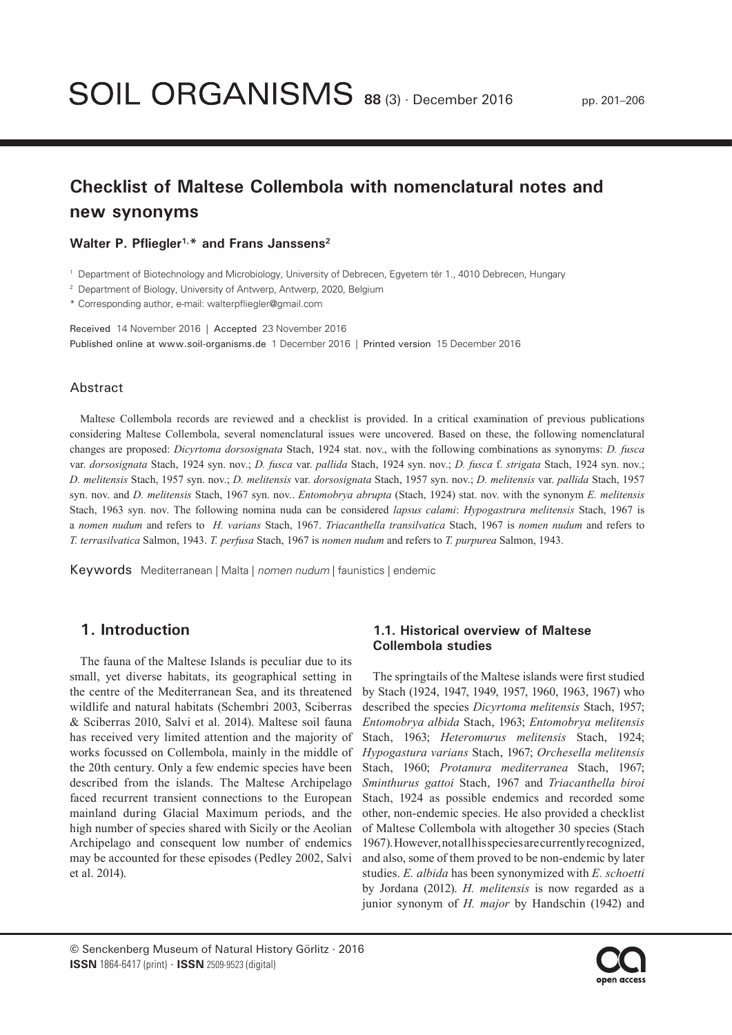# **Checklist of Maltese Collembola with nomenclatural notes and new synonyms**

#### **Walter P. Pfliegler1,\* and Frans Janssens2**

<sup>1</sup> Department of Biotechnology and Microbiology, University of Debrecen, Egyetem tér 1., 4010 Debrecen, Hungary

<sup>2</sup> Department of Biology, University of Antwerp, Antwerp, 2020, Belgium

\* Corresponding author, e-mail: walterpfliegler@gmail.com

Received 14 November 2016 | Accepted 23 November 2016 Published online at www.soil-organisms.de 1 December 2016 | Printed version 15 December 2016

## Abstract

Maltese Collembola records are reviewed and a checklist is provided. In a critical examination of previous publications considering Maltese Collembola, several nomenclatural issues were uncovered. Based on these, the following nomenclatural changes are proposed: *Dicyrtoma dorsosignata* Stach, 1924 stat. nov., with the following combinations as synonyms: *D. fusca* var. *dorsosignata* Stach, 1924 syn. nov.; *D. fusca* var. *pallida* Stach, 1924 syn. nov.; *D. fusca* f. *strigata* Stach, 1924 syn. nov.; *D. melitensis* Stach, 1957 syn. nov.; *D. melitensis* var. *dorsosignata* Stach, 1957 syn. nov.; *D. melitensis* var. *pallida* Stach, 1957 syn. nov. and *D. melitensis* Stach, 1967 syn. nov.. *Entomobrya abrupta* (Stach, 1924) stat. nov. with the synonym *E. melitensis* Stach, 1963 syn. nov. The following nomina nuda can be considered *lapsus calami*: *Hypogastrura melitensis* Stach, 1967 is a *nomen nudum* and refers to *H. varians* Stach, 1967. *Triacanthella transilvatica* Stach, 1967 is *nomen nudum* and refers to *T. terrasilvatica* Salmon, 1943. *T. perfusa* Stach, 1967 is *nomen nudum* and refers to *T. purpurea* Salmon, 1943.

Keywords Mediterranean | Malta | *nomen nudum* | faunistics | endemic

# **1. Introduction**

The fauna of the Maltese Islands is peculiar due to its small, yet diverse habitats, its geographical setting in the centre of the Mediterranean Sea, and its threatened wildlife and natural habitats (Schembri 2003, Sciberras & Sciberras 2010, Salvi et al. 2014). Maltese soil fauna has received very limited attention and the majority of works focussed on Collembola, mainly in the middle of the 20th century. Only a few endemic species have been described from the islands. The Maltese Archipelago faced recurrent transient connections to the European mainland during Glacial Maximum periods, and the high number of species shared with Sicily or the Aeolian Archipelago and consequent low number of endemics may be accounted for these episodes (Pedley 2002, Salvi et al. 2014).

# **1.1. Historical overview of Maltese Collembola studies**

The springtails of the Maltese islands were first studied by Stach (1924, 1947, 1949, 1957, 1960, 1963, 1967) who described the species *Dicyrtoma melitensis* Stach, 1957; *Entomobrya albida* Stach, 1963; *Entomobrya melitensis* Stach, 1963; *Heteromurus melitensis* Stach, 1924; *Hypogastura varians* Stach, 1967; *Orchesella melitensis* Stach, 1960; *Protanura mediterranea* Stach, 1967; *Sminthurus gattoi* Stach, 1967 and *Triacanthella biroi* Stach, 1924 as possible endemics and recorded some other, non-endemic species. He also provided a checklist of Maltese Collembola with altogether 30 species (Stach 1967). However, not all his species are currently recognized, and also, some of them proved to be non-endemic by later studies. *E. albida* has been synonymized with *E. schoetti* by Jordana (2012). *H. melitensis* is now regarded as a junior synonym of *H. major* by Handschin (1942) and

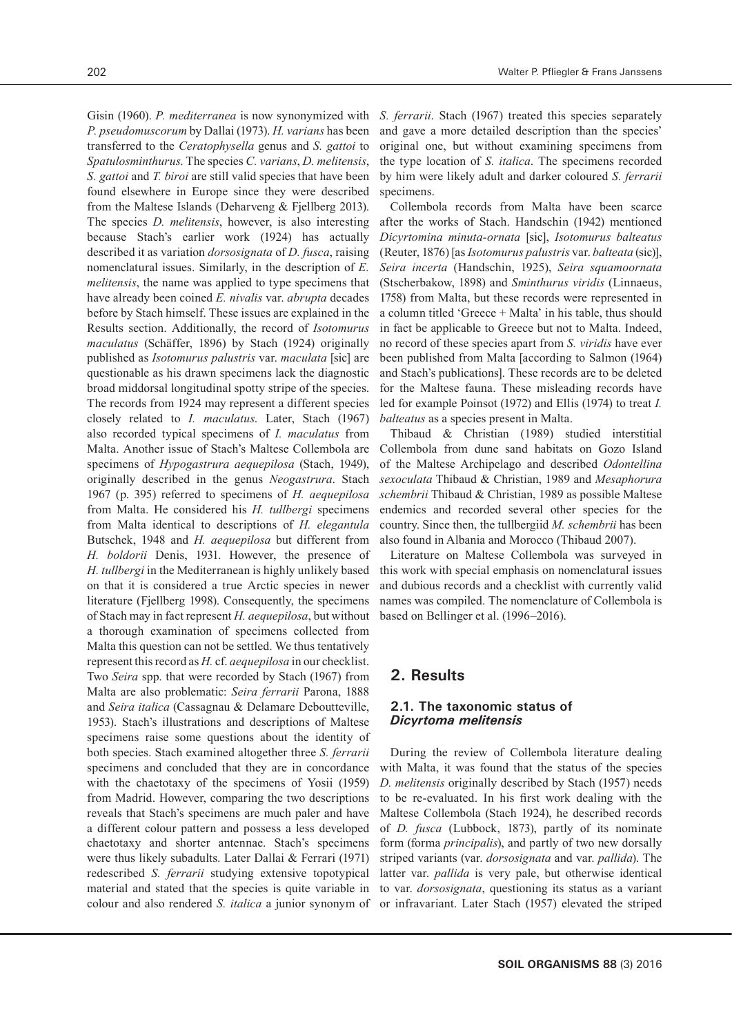Gisin (1960). *P. mediterranea* is now synonymized with *P. pseudomuscorum* by Dallai (1973). *H. varians* has been transferred to the *Ceratophysella* genus and *S. gattoi* to *Spatulosminthurus*. The species *C. varians*, *D. melitensis*, *S. gattoi* and *T. biroi* are still valid species that have been found elsewhere in Europe since they were described from the Maltese Islands (Deharveng & Fjellberg 2013). The species *D. melitensis*, however, is also interesting because Stach's earlier work (1924) has actually described it as variation *dorsosignata* of *D. fusca*, raising nomenclatural issues. Similarly, in the description of *E. melitensis*, the name was applied to type specimens that have already been coined *E. nivalis* var. *abrupta* decades before by Stach himself. These issues are explained in the Results section. Additionally, the record of *Isotomurus maculatus* (Schäffer, 1896) by Stach (1924) originally published as *Isotomurus palustris* var. *maculata* [sic] are questionable as his drawn specimens lack the diagnostic broad middorsal longitudinal spotty stripe of the species. The records from 1924 may represent a different species closely related to *I. maculatus*. Later, Stach (1967) also recorded typical specimens of *I. maculatus* from Malta. Another issue of Stach's Maltese Collembola are specimens of *Hypogastrura aequepilosa* (Stach, 1949), originally described in the genus *Neogastrura*. Stach 1967 (p. 395) referred to specimens of *H. aequepilosa* from Malta. He considered his *H. tullbergi* specimens from Malta identical to descriptions of *H. elegantula* Butschek, 1948 and *H. aequepilosa* but different from *H. boldorii* Denis, 1931. However, the presence of *H. tullbergi* in the Mediterranean is highly unlikely based on that it is considered a true Arctic species in newer literature (Fjellberg 1998). Consequently, the specimens of Stach may in fact represent *H. aequepilosa*, but without a thorough examination of specimens collected from Malta this question can not be settled. We thus tentatively represent this record as *H.* cf. *aequepilosa* in our checklist. Two *Seira* spp. that were recorded by Stach (1967) from Malta are also problematic: *Seira ferrarii* Parona, 1888 and *Seira italica* (Cassagnau & Delamare Deboutteville, 1953). Stach's illustrations and descriptions of Maltese specimens raise some questions about the identity of both species. Stach examined altogether three *S. ferrarii* specimens and concluded that they are in concordance with the chaetotaxy of the specimens of Yosii (1959) from Madrid. However, comparing the two descriptions reveals that Stach's specimens are much paler and have a different colour pattern and possess a less developed chaetotaxy and shorter antennae. Stach's specimens were thus likely subadults. Later Dallai & Ferrari (1971) redescribed *S. ferrarii* studying extensive topotypical material and stated that the species is quite variable in colour and also rendered *S. italica* a junior synonym of

*S. ferrarii*. Stach (1967) treated this species separately and gave a more detailed description than the species' original one, but without examining specimens from the type location of *S. italica*. The specimens recorded by him were likely adult and darker coloured *S. ferrarii* specimens.

Collembola records from Malta have been scarce after the works of Stach. Handschin (1942) mentioned *Dicyrtomina minuta-ornata* [sic], *Isotomurus balteatus*  (Reuter, 1876) [as *Isotomurus palustris* var. *balteata* (sic)], *Seira incerta* (Handschin, 1925), *Seira squamoornata*  (Stscherbakow, 1898) and *Sminthurus viridis* (Linnaeus, 1758) from Malta, but these records were represented in a column titled 'Greece + Malta' in his table, thus should in fact be applicable to Greece but not to Malta. Indeed, no record of these species apart from *S. viridis* have ever been published from Malta [according to Salmon (1964) and Stach's publications]. These records are to be deleted for the Maltese fauna. These misleading records have led for example Poinsot (1972) and Ellis (1974) to treat *I. balteatus* as a species present in Malta.

Thibaud & Christian (1989) studied interstitial Collembola from dune sand habitats on Gozo Island of the Maltese Archipelago and described *Odontellina sexoculata* Thibaud & Christian, 1989 and *Mesaphorura schembrii* Thibaud & Christian, 1989 as possible Maltese endemics and recorded several other species for the country. Since then, the tullbergiid *M. schembrii* has been also found in Albania and Morocco (Thibaud 2007).

Literature on Maltese Collembola was surveyed in this work with special emphasis on nomenclatural issues and dubious records and a checklist with currently valid names was compiled. The nomenclature of Collembola is based on Bellinger et al. (1996–2016).

# **2. Results**

## **2.1. The taxonomic status of**  *Dicyrtoma melitensis*

During the review of Collembola literature dealing with Malta, it was found that the status of the species *D. melitensis* originally described by Stach (1957) needs to be re-evaluated. In his first work dealing with the Maltese Collembola (Stach 1924), he described records of *D. fusca* (Lubbock, 1873), partly of its nominate form (forma *principalis*), and partly of two new dorsally striped variants (var. *dorsosignata* and var. *pallida*). The latter var. *pallida* is very pale, but otherwise identical to var. *dorsosignata*, questioning its status as a variant or infravariant. Later Stach (1957) elevated the striped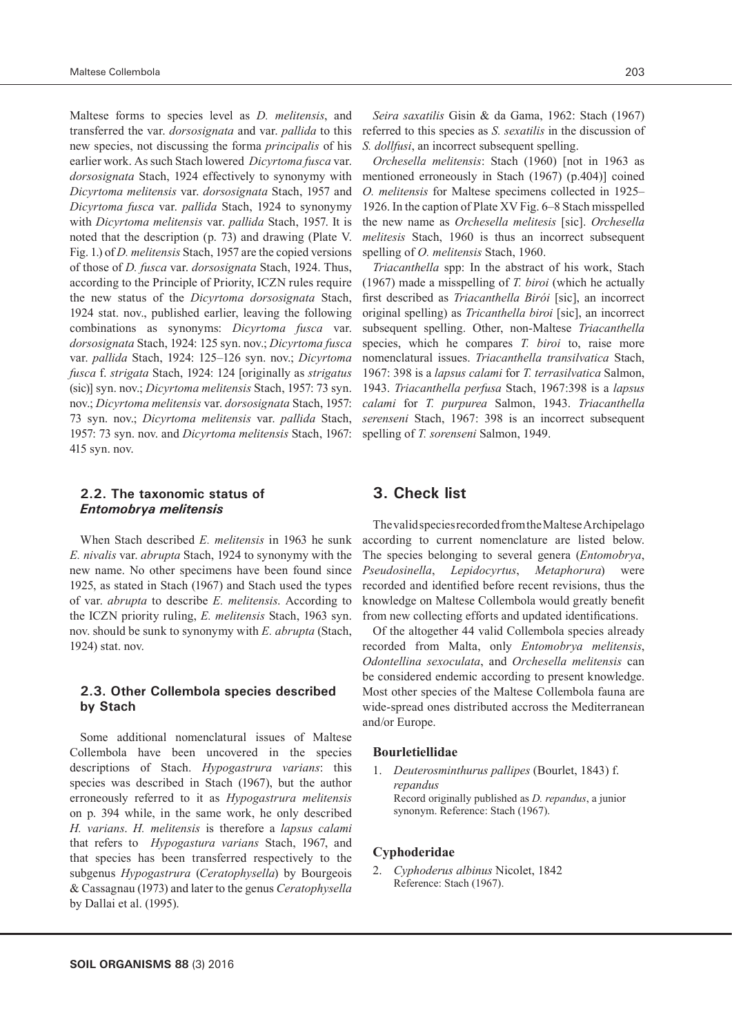Maltese forms to species level as *D. melitensis*, and transferred the var. *dorsosignata* and var. *pallida* to this new species, not discussing the forma *principalis* of his earlier work. As such Stach lowered *Dicyrtoma fusca* var. *dorsosignata* Stach, 1924 effectively to synonymy with *Dicyrtoma melitensis* var. *dorsosignata* Stach, 1957 and *Dicyrtoma fusca* var. *pallida* Stach, 1924 to synonymy with *Dicyrtoma melitensis* var. *pallida* Stach, 1957. It is noted that the description (p. 73) and drawing (Plate V. Fig. 1.) of *D. melitensis* Stach, 1957 are the copied versions of those of *D. fusca* var. *dorsosignata* Stach, 1924. Thus, according to the Principle of Priority, ICZN rules require the new status of the *Dicyrtoma dorsosignata* Stach, 1924 stat. nov., published earlier, leaving the following combinations as synonyms: *Dicyrtoma fusca* var. *dorsosignata* Stach, 1924: 125 syn. nov.; *Dicyrtoma fusca* var. *pallida* Stach, 1924: 125–126 syn. nov.; *Dicyrtoma fusca* f. *strigata* Stach, 1924: 124 [originally as *strigatus* (sic)] syn. nov.; *Dicyrtoma melitensis* Stach, 1957: 73 syn. nov.; *Dicyrtoma melitensis* var. *dorsosignata* Stach, 1957: 73 syn. nov.; *Dicyrtoma melitensis* var. *pallida* Stach, 1957: 73 syn. nov. and *Dicyrtoma melitensis* Stach, 1967: 415 syn. nov.

## **2.2. The taxonomic status of**  *Entomobrya melitensis*

When Stach described *E. melitensis* in 1963 he sunk *E. nivalis* var. *abrupta* Stach, 1924 to synonymy with the new name. No other specimens have been found since 1925, as stated in Stach (1967) and Stach used the types of var. *abrupta* to describe *E. melitensis*. According to the ICZN priority ruling, *E. melitensis* Stach, 1963 syn. nov. should be sunk to synonymy with *E. abrupta* (Stach, 1924) stat. nov.

#### **2.3. Other Collembola species described by Stach**

Some additional nomenclatural issues of Maltese Collembola have been uncovered in the species descriptions of Stach. *Hypogastrura varians*: this species was described in Stach (1967), but the author erroneously referred to it as *Hypogastrura melitensis* on p. 394 while, in the same work, he only described *H. varians*. *H. melitensis* is therefore a *lapsus calami*  that refers to *Hypogastura varians* Stach, 1967, and that species has been transferred respectively to the subgenus *Hypogastrura* (*Ceratophysella*) by Bourgeois & Cassagnau (1973) and later to the genus *Ceratophysella* by Dallai et al. (1995).

*Seira saxatilis* Gisin & da Gama, 1962: Stach (1967) referred to this species as *S. sexatilis* in the discussion of *S. dollfusi*, an incorrect subsequent spelling.

*Orchesella melitensis*: Stach (1960) [not in 1963 as mentioned erroneously in Stach (1967) (p.404)] coined *O. melitensis* for Maltese specimens collected in 1925– 1926. In the caption of Plate XV Fig. 6–8 Stach misspelled the new name as *Orchesella melitesis* [sic]. *Orchesella melitesis* Stach, 1960 is thus an incorrect subsequent spelling of *O. melitensis* Stach, 1960.

*Triacanthella* spp: In the abstract of his work, Stach (1967) made a misspelling of *T. biroi* (which he actually first described as *Triacanthella Birói* [sic], an incorrect original spelling) as *Tricanthella biroi* [sic], an incorrect subsequent spelling. Other, non-Maltese *Triacanthella* species, which he compares *T. biroi* to, raise more nomenclatural issues. *Triacanthella transilvatica* Stach, 1967: 398 is a *lapsus calami* for *T. terrasilvatica* Salmon, 1943. *Triacanthella perfusa* Stach, 1967:398 is a *lapsus calami* for *T. purpurea* Salmon, 1943. *Triacanthella serenseni* Stach, 1967: 398 is an incorrect subsequent spelling of *T. sorenseni* Salmon, 1949.

# **3. Check list**

The valid species recorded from the Maltese Archipelago according to current nomenclature are listed below. The species belonging to several genera (*Entomobrya*, *Pseudosinella*, *Lepidocyrtus*, *Metaphorura*) were recorded and identified before recent revisions, thus the knowledge on Maltese Collembola would greatly benefit from new collecting efforts and updated identifications.

Of the altogether 44 valid Collembola species already recorded from Malta, only *Entomobrya melitensis*, *Odontellina sexoculata*, and *Orchesella melitensis* can be considered endemic according to present knowledge. Most other species of the Maltese Collembola fauna are wide-spread ones distributed accross the Mediterranean and/or Europe.

#### **Bourletiellidae**

1. *Deuterosminthurus pallipes* (Bourlet, 1843) f. *repandus* Record originally published as *D. repandus*, a junior synonym. Reference: Stach (1967).

#### **Cyphoderidae**

2. *Cyphoderus albinus* Nicolet, 1842 Reference: Stach (1967).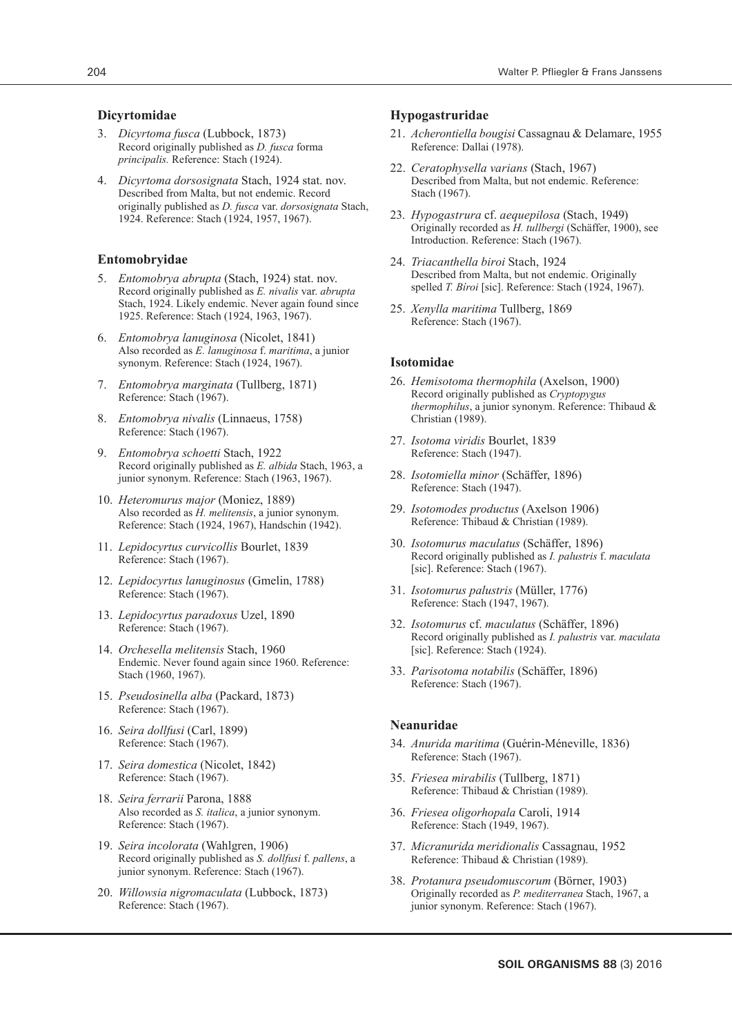#### **Dicyrtomidae**

- 3. *Dicyrtoma fusca* (Lubbock, 1873) Record originally published as *D. fusca* forma *principalis.* Reference: Stach (1924).
- 4. *Dicyrtoma dorsosignata* Stach, 1924 stat. nov. Described from Malta, but not endemic. Record originally published as *D. fusca* var. *dorsosignata* Stach, 1924. Reference: Stach (1924, 1957, 1967).

#### **Entomobryidae**

- 5. *Entomobrya abrupta* (Stach, 1924) stat. nov. Record originally published as *E. nivalis* var. *abrupta* Stach, 1924. Likely endemic. Never again found since 1925. Reference: Stach (1924, 1963, 1967).
- 6. *Entomobrya lanuginosa* (Nicolet, 1841) Also recorded as *E. lanuginosa* f. *maritima*, a junior synonym. Reference: Stach (1924, 1967).
- 7. *Entomobrya marginata* (Tullberg, 1871) Reference: Stach (1967).
- 8. *Entomobrya nivalis* (Linnaeus, 1758) Reference: Stach (1967).
- 9. *Entomobrya schoetti* Stach, 1922 Record originally published as *E. albida* Stach, 1963, a junior synonym. Reference: Stach (1963, 1967).
- 10. *Heteromurus major* (Moniez, 1889) Also recorded as *H. melitensis*, a junior synonym. Reference: Stach (1924, 1967), Handschin (1942).
- 11. *Lepidocyrtus curvicollis* Bourlet, 1839 Reference: Stach (1967).
- 12. *Lepidocyrtus lanuginosus* (Gmelin, 1788) Reference: Stach (1967).
- 13. *Lepidocyrtus paradoxus* Uzel, 1890 Reference: Stach (1967).
- 14. *Orchesella melitensis* Stach, 1960 Endemic. Never found again since 1960. Reference: Stach (1960, 1967).
- 15. *Pseudosinella alba* (Packard, 1873) Reference: Stach (1967).
- 16. *Seira dollfusi* (Carl, 1899) Reference: Stach (1967).
- 17. *Seira domestica* (Nicolet, 1842) Reference: Stach (1967).
- 18. *Seira ferrarii* Parona, 1888 Also recorded as *S. italica*, a junior synonym. Reference: Stach (1967).
- 19. *Seira incolorata* (Wahlgren, 1906) Record originally published as *S. dollfusi* f. *pallens*, a junior synonym. Reference: Stach (1967).
- 20. *Willowsia nigromaculata* (Lubbock, 1873) Reference: Stach (1967).

#### **Hypogastruridae**

- 21. *Acherontiella bougisi* Cassagnau & Delamare, 1955 Reference: Dallai (1978).
- 22. *Ceratophysella varians* (Stach, 1967) Described from Malta, but not endemic. Reference: Stach (1967).
- 23. *Hypogastrura* cf. *aequepilosa* (Stach, 1949) Originally recorded as *H. tullbergi* (Schäffer, 1900), see Introduction. Reference: Stach (1967).
- 24. *Triacanthella biroi* Stach, 1924 Described from Malta, but not endemic. Originally spelled *T. Bíroi* [sic]. Reference: Stach (1924, 1967).
- 25. *Xenylla maritima* Tullberg, 1869 Reference: Stach (1967).

#### **Isotomidae**

- 26. *Hemisotoma thermophila* (Axelson, 1900) Record originally published as *Cryptopygus thermophilus*, a junior synonym. Reference: Thibaud & Christian (1989).
- 27. *Isotoma viridis* Bourlet, 1839 Reference: Stach (1947).
- 28. *Isotomiella minor* (Schäffer, 1896) Reference: Stach (1947).
- 29. *Isotomodes productus* (Axelson 1906) Reference: Thibaud & Christian (1989).
- 30. *Isotomurus maculatus* (Schäffer, 1896) Record originally published as *I. palustris* f. *maculata*  [sic]. Reference: Stach (1967).
- 31. *Isotomurus palustris* (Müller, 1776) Reference: Stach (1947, 1967).
- 32. *Isotomurus* cf. *maculatus* (Schäffer, 1896) Record originally published as *I. palustris* var. *maculata* [sic]. Reference: Stach (1924).
- 33. *Parisotoma notabilis* (Schäffer, 1896) Reference: Stach (1967).

## **Neanuridae**

- 34. *Anurida maritima* (Guérin-Méneville, 1836) Reference: Stach (1967).
- 35. *Friesea mirabilis* (Tullberg, 1871) Reference: Thibaud & Christian (1989).
- 36. *Friesea oligorhopala* Caroli, 1914 Reference: Stach (1949, 1967).
- 37. *Micranurida meridionalis* Cassagnau, 1952 Reference: Thibaud & Christian (1989).
- 38. *Protanura pseudomuscorum* (Börner, 1903) Originally recorded as *P. mediterranea* Stach, 1967, a junior synonym. Reference: Stach (1967).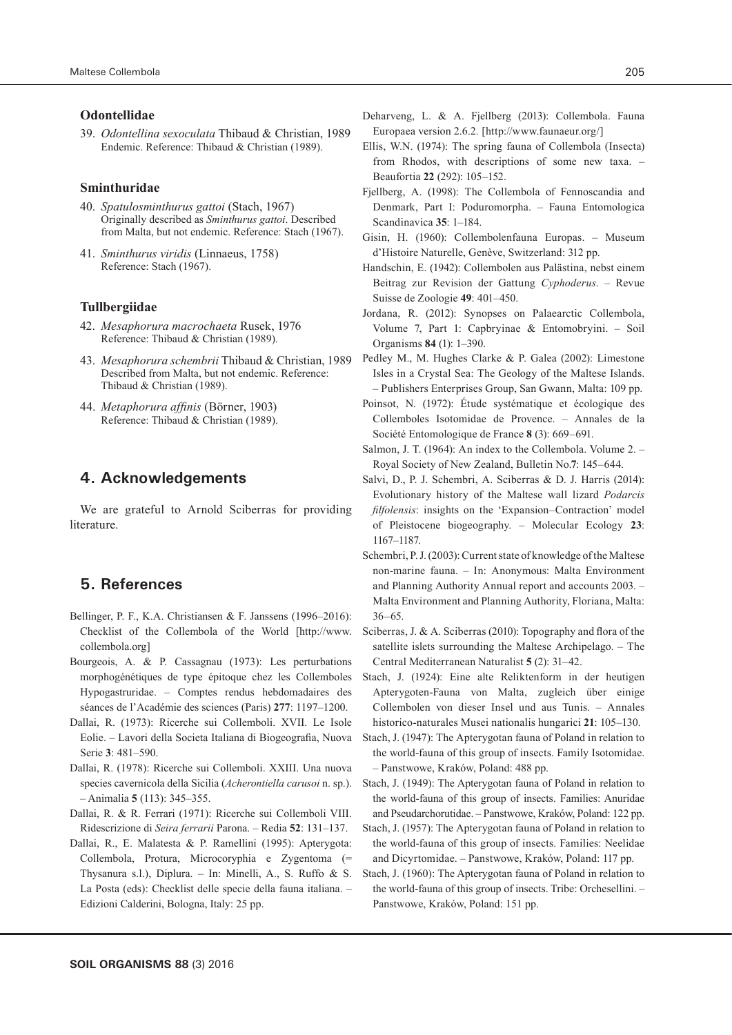#### **Odontellidae**

39. *Odontellina sexoculata* Thibaud & Christian, 1989 Endemic. Reference: Thibaud & Christian (1989).

#### **Sminthuridae**

- 40. *Spatulosminthurus gattoi* (Stach, 1967) Originally described as *Sminthurus gattoi*. Described from Malta, but not endemic. Reference: Stach (1967).
- 41. *Sminthurus viridis* (Linnaeus, 1758) Reference: Stach (1967).

#### **Tullbergiidae**

- 42. *Mesaphorura macrochaeta* Rusek, 1976 Reference: Thibaud & Christian (1989).
- 43. *Mesaphorura schembrii* Thibaud & Christian, 1989 Described from Malta, but not endemic. Reference: Thibaud & Christian (1989).
- 44. *Metaphorura affinis* (Börner, 1903) Reference: Thibaud & Christian (1989).

# **4. Acknowledgements**

We are grateful to Arnold Sciberras for providing literature.

# **5. References**

- Bellinger, P. F., K.A. Christiansen & F. Janssens (1996–2016): Checklist of the Collembola of the World [http://www. collembola.org]
- Bourgeois, A. & P. Cassagnau (1973): Les perturbations morphogénétiques de type épitoque chez les Collemboles Hypogastruridae. – Comptes rendus hebdomadaires des séances de l'Académie des sciences (Paris) **277**: 1197–1200.
- Dallai, R. (1973): Ricerche sui Collemboli. XVII. Le Isole Eolie. – Lavori della Societa Italiana di Biogeografia, Nuova Serie **3**: 481–590.
- Dallai, R. (1978): Ricerche sui Collemboli. XXIII. Una nuova species cavernicola della Sicilia (*Acherontiella carusoi* n. sp.). – Animalia **5** (113): 345–355.
- Dallai, R. & R. Ferrari (1971): Ricerche sui Collemboli VIII. Ridescrizione di *Seira ferrarii* Parona. – Redia **52**: 131–137.
- Dallai, R., E. Malatesta & P. Ramellini (1995): Apterygota: Collembola, Protura, Microcoryphia e Zygentoma (= Thysanura s.l.), Diplura. – In: Minelli, A., S. Ruffo & S. La Posta (eds): Checklist delle specie della fauna italiana. – Edizioni Calderini, Bologna, Italy: 25 pp.
- Deharveng, L. & A. Fjellberg (2013): Collembola. Fauna Europaea version 2.6.2*.* [http://www.faunaeur.org/]
- Ellis, W.N. (1974): The spring fauna of Collembola (Insecta) from Rhodos, with descriptions of some new taxa. – Beaufortia **22** (292): 105–152.
- Fjellberg, A. (1998): The Collembola of Fennoscandia and Denmark, Part I: Poduromorpha. – Fauna Entomologica Scandinavica **35**: 1–184.
- Gisin, H. (1960): Collembolenfauna Europas. Museum d'Histoire Naturelle, Genève, Switzerland: 312 pp.
- Handschin, E. (1942): Collembolen aus Palästina, nebst einem Beitrag zur Revision der Gattung *Cyphoderus*. – Revue Suisse de Zoologie **49**: 401–450.
- Jordana, R. (2012): Synopses on Palaearctic Collembola, Volume 7, Part 1: Capbryinae & Entomobryini. – Soil Organisms **84** (1): 1–390.
- Pedley M., M. Hughes Clarke & P. Galea (2002): Limestone Isles in a Crystal Sea: The Geology of the Maltese Islands. – Publishers Enterprises Group, San Gwann, Malta: 109 pp.
- Poinsot, N. (1972): Étude systématique et écologique des Collemboles Isotomidae de Provence. – Annales de la Société Entomologique de France **8** (3): 669–691.
- Salmon, J. T. (1964): An index to the Collembola. Volume 2. Royal Society of New Zealand, Bulletin No.**7**: 145–644.
- Salvi, D., P. J. Schembri, A. Sciberras & D. J. Harris (2014): Evolutionary history of the Maltese wall lizard *Podarcis filfolensis*: insights on the 'Expansion–Contraction' model of Pleistocene biogeography. – Molecular Ecology **23**: 1167–1187.
- Schembri, P. J. (2003): Current state of knowledge of the Maltese non-marine fauna. – In: Anonymous: Malta Environment and Planning Authority Annual report and accounts 2003. – Malta Environment and Planning Authority, Floriana, Malta: 36–65.
- Sciberras, J. & A. Sciberras (2010): Topography and flora of the satellite islets surrounding the Maltese Archipelago. – The Central Mediterranean Naturalist **5** (2): 31–42.
- Stach, J. (1924): Eine alte Reliktenform in der heutigen Apterygoten-Fauna von Malta, zugleich über einige Collembolen von dieser Insel und aus Tunis. – Annales historico-naturales Musei nationalis hungarici **21**: 105–130.
- Stach, J. (1947): The Apterygotan fauna of Poland in relation to the world-fauna of this group of insects. Family Isotomidae. – Panstwowe, Kraków, Poland: 488 pp.
- Stach, J. (1949): The Apterygotan fauna of Poland in relation to the world-fauna of this group of insects. Families: Anuridae and Pseudarchorutidae. – Panstwowe, Kraków, Poland: 122 pp.
- Stach, J. (1957): The Apterygotan fauna of Poland in relation to the world-fauna of this group of insects. Families: Neelidae and Dicyrtomidae. – Panstwowe, Kraków, Poland: 117 pp.
- Stach, J. (1960): The Apterygotan fauna of Poland in relation to the world-fauna of this group of insects. Tribe: Orchesellini. – Panstwowe, Kraków, Poland: 151 pp.